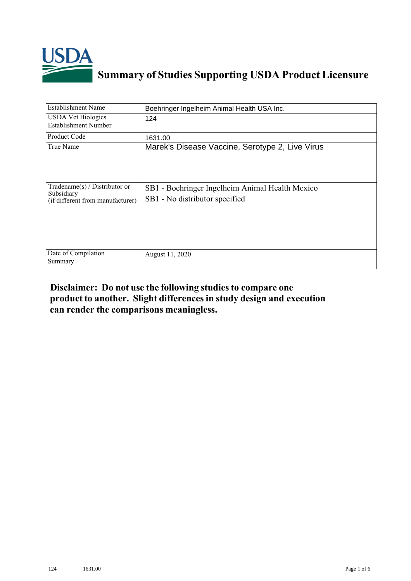

## **Summary of Studies Supporting USDA Product Licensure**

| <b>Establishment Name</b>                                                          | Boehringer Ingelheim Animal Health USA Inc.                                       |
|------------------------------------------------------------------------------------|-----------------------------------------------------------------------------------|
| <b>USDA Vet Biologics</b><br><b>Establishment Number</b>                           | 124                                                                               |
| Product Code                                                                       | 1631.00                                                                           |
| True Name                                                                          | Marek's Disease Vaccine, Serotype 2, Live Virus                                   |
| Tradename $(s)$ / Distributor or<br>Subsidiary<br>(if different from manufacturer) | SB1 - Boehringer Ingelheim Animal Health Mexico<br>SB1 - No distributor specified |
| Date of Compilation<br>Summary                                                     | August 11, 2020                                                                   |

## **Disclaimer: Do not use the following studiesto compare one product to another. Slight differencesin study design and execution can render the comparisons meaningless.**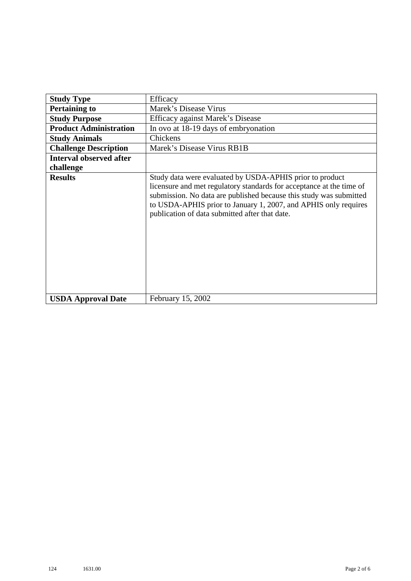| <b>Study Type</b>              | Efficacy                                                                                                                                                                                                                                                                                                                    |
|--------------------------------|-----------------------------------------------------------------------------------------------------------------------------------------------------------------------------------------------------------------------------------------------------------------------------------------------------------------------------|
| <b>Pertaining to</b>           | Marek's Disease Virus                                                                                                                                                                                                                                                                                                       |
| <b>Study Purpose</b>           | Efficacy against Marek's Disease                                                                                                                                                                                                                                                                                            |
| <b>Product Administration</b>  | In ovo at 18-19 days of embryonation                                                                                                                                                                                                                                                                                        |
| <b>Study Animals</b>           | Chickens                                                                                                                                                                                                                                                                                                                    |
| <b>Challenge Description</b>   | Marek's Disease Virus RB1B                                                                                                                                                                                                                                                                                                  |
| <b>Interval observed after</b> |                                                                                                                                                                                                                                                                                                                             |
| challenge                      |                                                                                                                                                                                                                                                                                                                             |
| <b>Results</b>                 | Study data were evaluated by USDA-APHIS prior to product<br>licensure and met regulatory standards for acceptance at the time of<br>submission. No data are published because this study was submitted<br>to USDA-APHIS prior to January 1, 2007, and APHIS only requires<br>publication of data submitted after that date. |
| <b>USDA Approval Date</b>      | February 15, 2002                                                                                                                                                                                                                                                                                                           |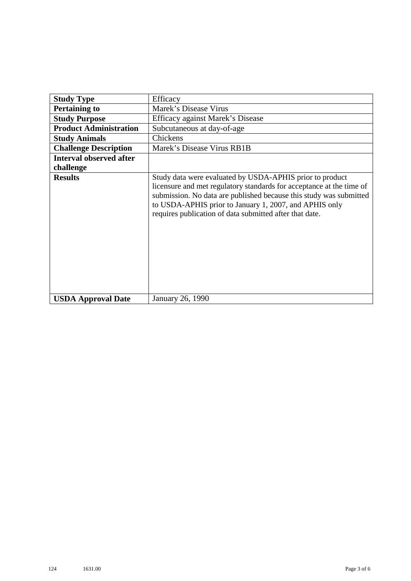| <b>Study Type</b>              | Efficacy                                                                                                                                                                                                                                                                                                                    |
|--------------------------------|-----------------------------------------------------------------------------------------------------------------------------------------------------------------------------------------------------------------------------------------------------------------------------------------------------------------------------|
| <b>Pertaining to</b>           | Marek's Disease Virus                                                                                                                                                                                                                                                                                                       |
| <b>Study Purpose</b>           | Efficacy against Marek's Disease                                                                                                                                                                                                                                                                                            |
| <b>Product Administration</b>  | Subcutaneous at day-of-age                                                                                                                                                                                                                                                                                                  |
| <b>Study Animals</b>           | Chickens                                                                                                                                                                                                                                                                                                                    |
| <b>Challenge Description</b>   | Marek's Disease Virus RB1B                                                                                                                                                                                                                                                                                                  |
| <b>Interval observed after</b> |                                                                                                                                                                                                                                                                                                                             |
| challenge                      |                                                                                                                                                                                                                                                                                                                             |
| <b>Results</b>                 | Study data were evaluated by USDA-APHIS prior to product<br>licensure and met regulatory standards for acceptance at the time of<br>submission. No data are published because this study was submitted<br>to USDA-APHIS prior to January 1, 2007, and APHIS only<br>requires publication of data submitted after that date. |
| <b>USDA Approval Date</b>      | January 26, 1990                                                                                                                                                                                                                                                                                                            |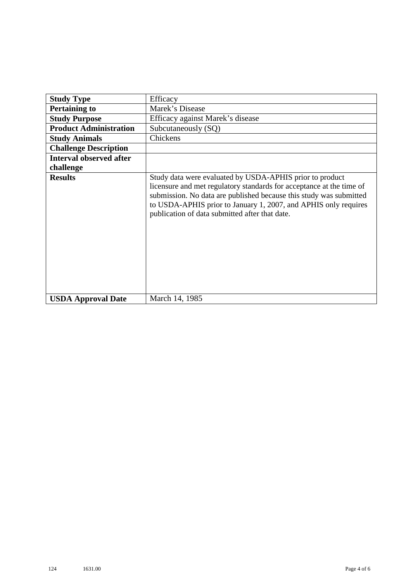| <b>Study Type</b>              | Efficacy                                                                                                                                                                                                                                                                                                                    |
|--------------------------------|-----------------------------------------------------------------------------------------------------------------------------------------------------------------------------------------------------------------------------------------------------------------------------------------------------------------------------|
| <b>Pertaining to</b>           | Marek's Disease                                                                                                                                                                                                                                                                                                             |
| <b>Study Purpose</b>           | Efficacy against Marek's disease                                                                                                                                                                                                                                                                                            |
| <b>Product Administration</b>  | Subcutaneously (SQ)                                                                                                                                                                                                                                                                                                         |
| <b>Study Animals</b>           | Chickens                                                                                                                                                                                                                                                                                                                    |
| <b>Challenge Description</b>   |                                                                                                                                                                                                                                                                                                                             |
| <b>Interval observed after</b> |                                                                                                                                                                                                                                                                                                                             |
| challenge                      |                                                                                                                                                                                                                                                                                                                             |
| <b>Results</b>                 | Study data were evaluated by USDA-APHIS prior to product<br>licensure and met regulatory standards for acceptance at the time of<br>submission. No data are published because this study was submitted<br>to USDA-APHIS prior to January 1, 2007, and APHIS only requires<br>publication of data submitted after that date. |
| <b>USDA Approval Date</b>      | March 14, 1985                                                                                                                                                                                                                                                                                                              |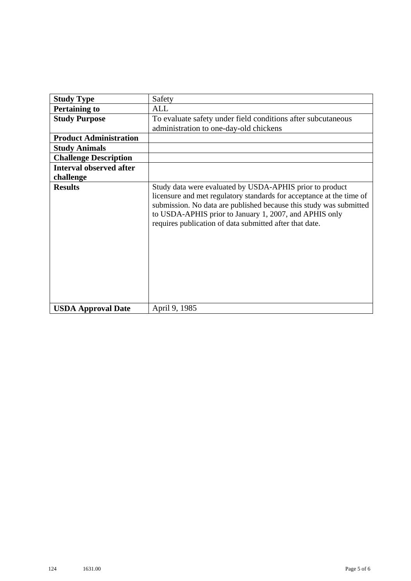| <b>Study Type</b>              | Safety                                                                                                                                                                                                                                                                                                                      |
|--------------------------------|-----------------------------------------------------------------------------------------------------------------------------------------------------------------------------------------------------------------------------------------------------------------------------------------------------------------------------|
| <b>Pertaining to</b>           | ALL                                                                                                                                                                                                                                                                                                                         |
| <b>Study Purpose</b>           | To evaluate safety under field conditions after subcutaneous                                                                                                                                                                                                                                                                |
|                                | administration to one-day-old chickens                                                                                                                                                                                                                                                                                      |
| <b>Product Administration</b>  |                                                                                                                                                                                                                                                                                                                             |
| <b>Study Animals</b>           |                                                                                                                                                                                                                                                                                                                             |
| <b>Challenge Description</b>   |                                                                                                                                                                                                                                                                                                                             |
| <b>Interval observed after</b> |                                                                                                                                                                                                                                                                                                                             |
| challenge                      |                                                                                                                                                                                                                                                                                                                             |
| <b>Results</b>                 | Study data were evaluated by USDA-APHIS prior to product<br>licensure and met regulatory standards for acceptance at the time of<br>submission. No data are published because this study was submitted<br>to USDA-APHIS prior to January 1, 2007, and APHIS only<br>requires publication of data submitted after that date. |
| <b>USDA Approval Date</b>      | April 9, 1985                                                                                                                                                                                                                                                                                                               |